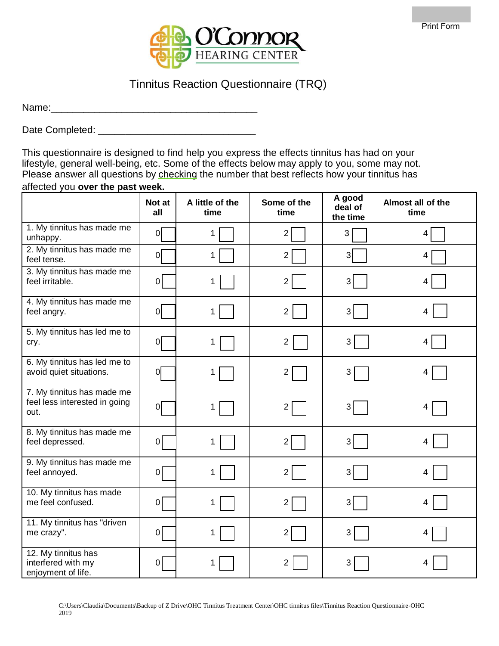

## Tinnitus Reaction Questionnaire (TRQ)

Name:\_\_\_\_\_\_\_\_\_\_\_\_\_\_\_\_\_\_\_\_\_\_\_\_\_\_\_\_\_\_\_\_\_\_\_\_\_\_

Date Completed: \_\_\_\_\_\_\_\_\_\_\_\_\_\_\_\_\_\_\_\_\_\_\_\_\_\_\_\_\_

This questionnaire is designed to find help you express the effects tinnitus has had on your lifestyle, general well-being, etc. Some of the effects below may apply to you, some may not. Please answer all questions by checking the number that best reflects how your tinnitus has affected you **over the past week.**

|                                                                     | Not at<br>all  | A little of the<br>time | Some of the<br>time | A good<br>deal of<br>the time | Almost all of the<br>time |
|---------------------------------------------------------------------|----------------|-------------------------|---------------------|-------------------------------|---------------------------|
| 1. My tinnitus has made me<br>unhappy.                              | 0              | 1                       | $\overline{2}$      | 3                             | 4                         |
| 2. My tinnitus has made me<br>feel tense.                           | 0              | 1                       | 2 <sup>2</sup>      | $\overline{3}$                | $\overline{\mathbf{4}}$   |
| 3. My tinnitus has made me<br>feel irritable.                       | 0              |                         | $\overline{2}$      | 3 <sup>1</sup>                | 4                         |
| 4. My tinnitus has made me<br>feel angry.                           | 0              | 1                       | $\overline{2}$      | 3                             | 4                         |
| 5. My tinnitus has led me to<br>cry.                                | $\overline{O}$ | 1                       | $\overline{2}$      | 3                             | 4                         |
| 6. My tinnitus has led me to<br>avoid quiet situations.             | $\overline{O}$ | 1                       | $\overline{2}$      | 3                             | 4                         |
| 7. My tinnitus has made me<br>feel less interested in going<br>out. | 0              | 1                       | 2                   | 3                             | 4                         |
| 8. My tinnitus has made me<br>feel depressed.                       | 0              | 1                       | $\overline{2}$      | 3                             | 4                         |
| 9. My tinnitus has made me<br>feel annoyed.                         | 0              |                         | $\overline{2}$      | 3                             | 4                         |
| 10. My tinnitus has made<br>me feel confused.                       | 0              |                         | 2 <sub>1</sub>      | 3 <sup>1</sup>                | 4                         |
| 11. My tinnitus has "driven<br>me crazy".                           | $\overline{0}$ |                         | 2                   | 3                             | 4                         |
| 12. My tinnitus has<br>interfered with my<br>enjoyment of life.     | $\mathbf 0$    |                         | 2                   | 3                             | 4                         |